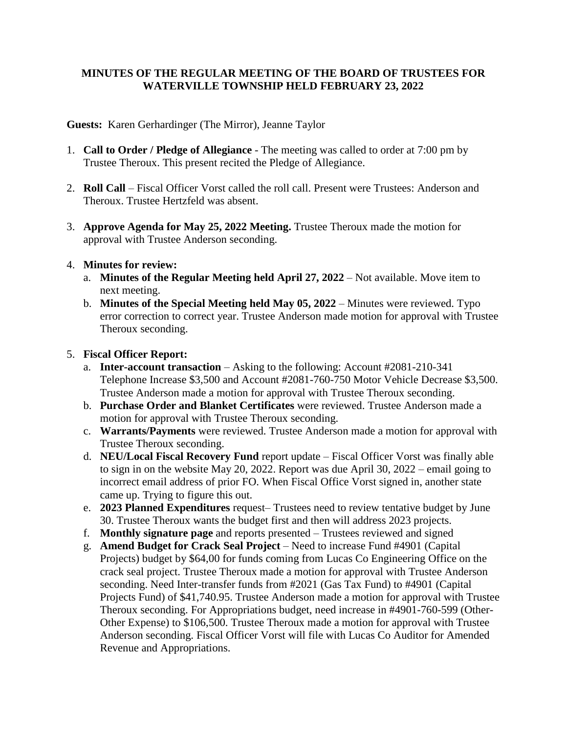# **MINUTES OF THE REGULAR MEETING OF THE BOARD OF TRUSTEES FOR WATERVILLE TOWNSHIP HELD FEBRUARY 23, 2022**

**Guests:** Karen Gerhardinger (The Mirror), Jeanne Taylor

- 1. **Call to Order / Pledge of Allegiance** The meeting was called to order at 7:00 pm by Trustee Theroux. This present recited the Pledge of Allegiance.
- 2. **Roll Call** Fiscal Officer Vorst called the roll call. Present were Trustees: Anderson and Theroux. Trustee Hertzfeld was absent.
- 3. **Approve Agenda for May 25, 2022 Meeting.** Trustee Theroux made the motion for approval with Trustee Anderson seconding.

#### 4. **Minutes for review:**

- a. **Minutes of the Regular Meeting held April 27, 2022** Not available. Move item to next meeting.
- b. **Minutes of the Special Meeting held May 05, 2022** Minutes were reviewed. Typo error correction to correct year. Trustee Anderson made motion for approval with Trustee Theroux seconding.

# 5. **Fiscal Officer Report:**

- a. **Inter-account transaction** Asking to the following: Account #2081-210-341 Telephone Increase \$3,500 and Account #2081-760-750 Motor Vehicle Decrease \$3,500. Trustee Anderson made a motion for approval with Trustee Theroux seconding.
- b. **Purchase Order and Blanket Certificates** were reviewed. Trustee Anderson made a motion for approval with Trustee Theroux seconding.
- c. **Warrants/Payments** were reviewed. Trustee Anderson made a motion for approval with Trustee Theroux seconding.
- d. **NEU/Local Fiscal Recovery Fund** report update Fiscal Officer Vorst was finally able to sign in on the website May 20, 2022. Report was due April 30, 2022 – email going to incorrect email address of prior FO. When Fiscal Office Vorst signed in, another state came up. Trying to figure this out.
- e. **2023 Planned Expenditures** request– Trustees need to review tentative budget by June 30. Trustee Theroux wants the budget first and then will address 2023 projects.
- f. **Monthly signature page** and reports presented Trustees reviewed and signed
- g. **Amend Budget for Crack Seal Project** Need to increase Fund #4901 (Capital
- Projects) budget by \$64,00 for funds coming from Lucas Co Engineering Office on the crack seal project. Trustee Theroux made a motion for approval with Trustee Anderson seconding. Need Inter-transfer funds from #2021 (Gas Tax Fund) to #4901 (Capital Projects Fund) of \$41,740.95. Trustee Anderson made a motion for approval with Trustee Theroux seconding. For Appropriations budget, need increase in #4901-760-599 (Other-Other Expense) to \$106,500. Trustee Theroux made a motion for approval with Trustee Anderson seconding. Fiscal Officer Vorst will file with Lucas Co Auditor for Amended Revenue and Appropriations.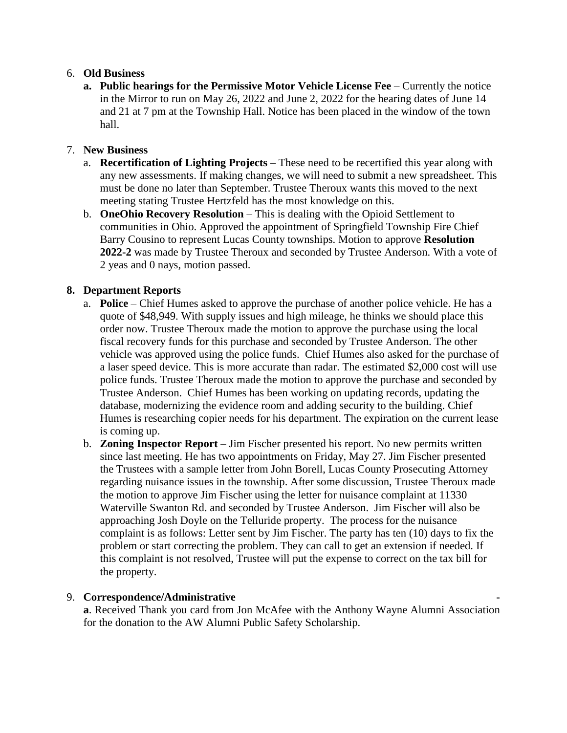### 6. **Old Business**

**a. Public hearings for the Permissive Motor Vehicle License Fee** – Currently the notice in the Mirror to run on May 26, 2022 and June 2, 2022 for the hearing dates of June 14 and 21 at 7 pm at the Township Hall. Notice has been placed in the window of the town hall.

### 7. **New Business**

- a. **Recertification of Lighting Projects** These need to be recertified this year along with any new assessments. If making changes, we will need to submit a new spreadsheet. This must be done no later than September. Trustee Theroux wants this moved to the next meeting stating Trustee Hertzfeld has the most knowledge on this.
- b. **OneOhio Recovery Resolution** This is dealing with the Opioid Settlement to communities in Ohio. Approved the appointment of Springfield Township Fire Chief Barry Cousino to represent Lucas County townships. Motion to approve **Resolution 2022-2** was made by Trustee Theroux and seconded by Trustee Anderson. With a vote of 2 yeas and 0 nays, motion passed.

#### **8. Department Reports**

- a. **Police** Chief Humes asked to approve the purchase of another police vehicle. He has a quote of \$48,949. With supply issues and high mileage, he thinks we should place this order now. Trustee Theroux made the motion to approve the purchase using the local fiscal recovery funds for this purchase and seconded by Trustee Anderson. The other vehicle was approved using the police funds. Chief Humes also asked for the purchase of a laser speed device. This is more accurate than radar. The estimated \$2,000 cost will use police funds. Trustee Theroux made the motion to approve the purchase and seconded by Trustee Anderson. Chief Humes has been working on updating records, updating the database, modernizing the evidence room and adding security to the building. Chief Humes is researching copier needs for his department. The expiration on the current lease is coming up.
- b. **Zoning Inspector Report** Jim Fischer presented his report. No new permits written since last meeting. He has two appointments on Friday, May 27. Jim Fischer presented the Trustees with a sample letter from John Borell, Lucas County Prosecuting Attorney regarding nuisance issues in the township. After some discussion, Trustee Theroux made the motion to approve Jim Fischer using the letter for nuisance complaint at 11330 Waterville Swanton Rd. and seconded by Trustee Anderson. Jim Fischer will also be approaching Josh Doyle on the Telluride property. The process for the nuisance complaint is as follows: Letter sent by Jim Fischer. The party has ten (10) days to fix the problem or start correcting the problem. They can call to get an extension if needed. If this complaint is not resolved, Trustee will put the expense to correct on the tax bill for the property.

#### 9. **Correspondence/Administrative -**

**a**. Received Thank you card from Jon McAfee with the Anthony Wayne Alumni Association for the donation to the AW Alumni Public Safety Scholarship.